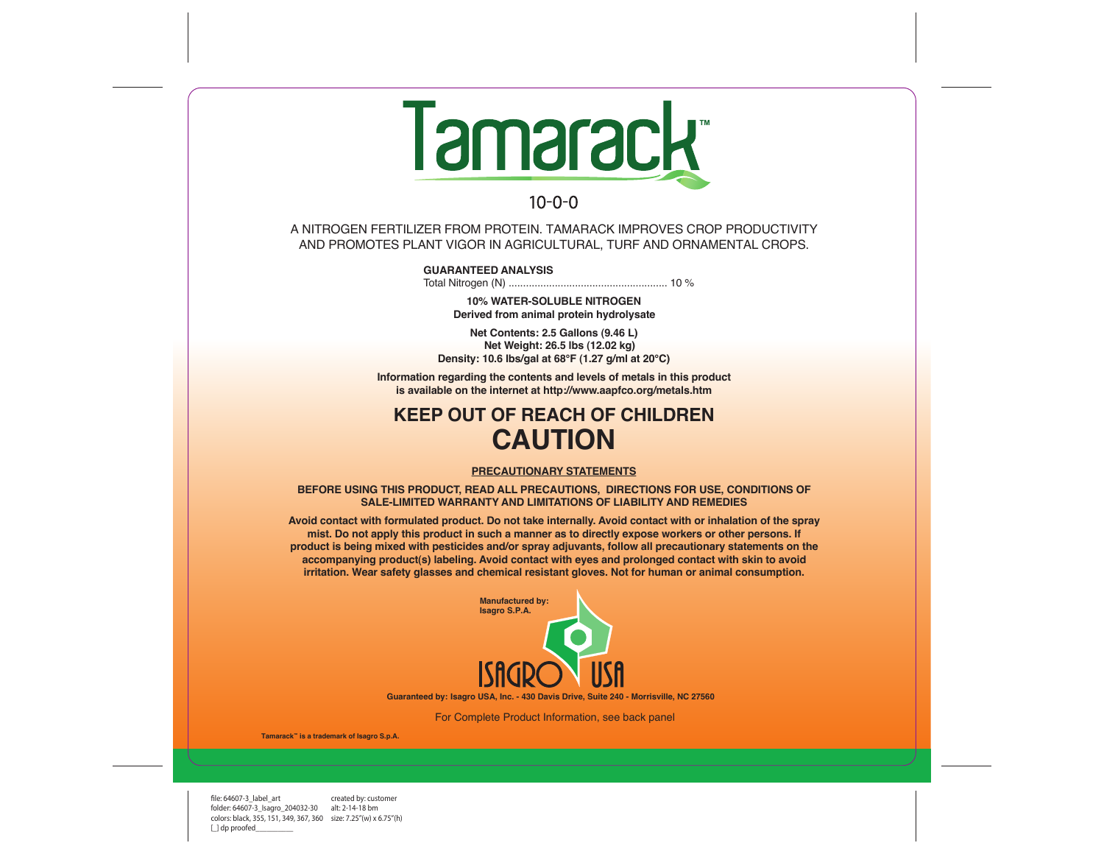

 $10 - 0 - 0$ 

A NITROGEN FERTILIZER FROM PROTEIN. TAMARACK IMPROVES CROP PRODUCTIVITY AND PROMOTES PLANT VIGOR IN AGRICULTURAL, TURF AND ORNAMENTAL CROPS.

**GUARANTEED ANALYSIS**

Total Nitrogen (N) ....................................................... 10 %

**10% WATER-SOLUBLE NITROGEN Derived from animal protein hydrolysate**

**Net Contents: 2.5 Gallons (9.46 L) Net Weight: 26.5 lbs (12.02 kg) Density: 10.6 lbs/gal at 68°F (1.27 g/ml at 20°C)**

**Information regarding the contents and levels of metals in this product is available on the internet at http://www.aapfco.org/metals.htm**

## **KEEP OUT OF REACH OF CHILDREN CAUTION**

## **PRECAUTIONARY STATEMENTS**

**BEFORE USING THIS PRODUCT, READ ALL PRECAUTIONS, DIRECTIONS FOR USE, CONDITIONS OF SALE-LIMITED WARRANTY AND LIMITATIONS OF LIABILITY AND REMEDIES**

**Avoid contact with formulated product. Do not take internally. Avoid contact with or inhalation of the spray mist. Do not apply this product in such a manner as to directly expose workers or other persons. If product is being mixed with pesticides and/or spray adjuvants, follow all precautionary statements on the accompanying product(s) labeling. Avoid contact with eyes and prolonged contact with skin to avoid irritation. Wear safety glasses and chemical resistant gloves. Not for human or animal consumption.**



**Isagro USA, Inc. - 430 Davis Drive, Suite 240 - Morrisville, NC 27560 Guaranteed by:**

For Complete Product Information, see back panel

**Tamarack™ is a trademark of Isagro S.p.A.**

file: 64607-3 label\_art created by: customer folder: 64607-3\_Isagro\_204032-30 alt: 2-14-18 bm colors: black, 355, 151, 349, 367, 360 size: 7.25"(w) x 6.75"(h) [ ] dp proofed